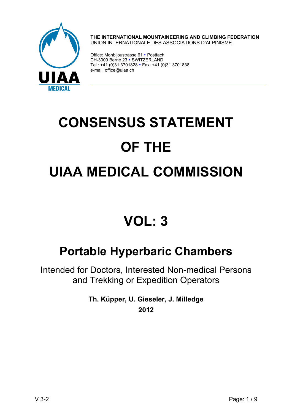

**THE INTERNATIONAL MOUNTAINEERING AND CLIMBING FEDERATION**  UNION INTERNATIONALE DES ASSOCIATIONS D'ALPINISME

Office: Monbijoustrasse 61 · Postfach CH-3000 Berne 23 · SWITZERLAND Tel.: +41 (0)31 3701828 • Fax: +41 (0)31 3701838 e-mail: office@uiaa.ch

# **CONSENSUS STATEMENT OF THE UIAA MEDICAL COMMISSION**

## **VOL: 3**

### **Portable Hyperbaric Chambers**

Intended for Doctors, Interested Non-medical Persons and Trekking or Expedition Operators

> **Th. Küpper, U. Gieseler, J. Milledge 2012**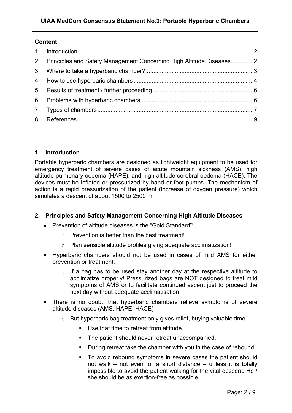#### **Content**

| $\overline{2}$  | Principles and Safety Management Concerning High Altitude Diseases 2 |  |
|-----------------|----------------------------------------------------------------------|--|
| 3 <sup>7</sup>  |                                                                      |  |
| $4\overline{ }$ |                                                                      |  |
| 5 <sup>5</sup>  |                                                                      |  |
| 6               |                                                                      |  |
|                 |                                                                      |  |
|                 |                                                                      |  |

#### **1 Introduction**

Portable hyperbaric chambers are designed as lightweight equipment to be used for emergency treatment of severe cases of acute mountain sickness (AMS), high altitude pulmonary oedema (HAPE), and high altitude cerebral oedema (HACE). The devices must be inflated or pressurized by hand or foot pumps. The mechanism of action is a rapid pressurization of the patient (increase of oxygen pressure) which simulates a descent of about 1500 to 2500 m.

#### **2 Principles and Safety Management Concerning High Altitude Diseases**

- Prevention of altitude diseases is the "Gold Standard"!
	- o Prevention is better than the best treatment!
	- o Plan sensible altitude profiles giving adequate acclimatization!
- Hyperbaric chambers should not be used in cases of mild AMS for either prevention or treatment.
	- $\circ$  If a bag has to be used stay another day at the respective altitude to acclimatize properly! Pressurized bags are NOT designed to treat mild symptoms of AMS or to facilitate continued ascent just to proceed the next day without adequate acclimatisation.
- There is no doubt, that hyperbaric chambers relieve symptoms of severe altitude diseases (AMS, HAPE, HACE)
	- o But hyperbaric bag treatment only gives relief, buying valuable time.
		- Use that time to retreat from altitude.
		- **The patient should never retreat unaccompanied.**
		- **During retreat take the chamber with you in the case of rebound**
		- To avoid rebound symptoms in severe cases the patient should not walk – not even for a short distance – unless it is totally impossible to avoid the patient walking for the vital descent. He / she should be as exertion-free as possible.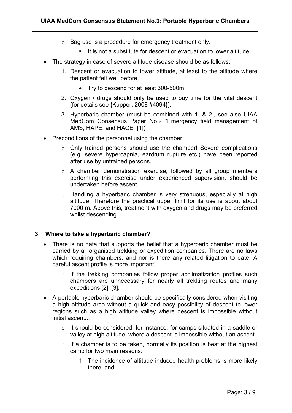- o Bag use is a procedure for emergency treatment only.
	- It is not a substitute for descent or evacuation to lower altitude.
- The strategy in case of severe altitude disease should be as follows:
	- 1. Descent or evacuation to lower altitude, at least to the altitude where the patient felt well before.
		- Try to descend for at least 300-500m
	- 2. Oxygen / drugs should only be used to buy time for the vital descent (for details see {Kupper, 2008 #4094}).
	- 3. Hyperbaric chamber (must be combined with 1. & 2., see also UIAA MedCom Consensus Paper No.2 "Emergency field management of AMS, HAPE, and HACE" [1])
- Preconditions of the personnel using the chamber:
	- o Only trained persons should use the chamber! Severe complications (e.g. severe hypercapnia, eardrum rupture etc.) have been reported after use by untrained persons.
	- o A chamber demonstration exercise, followed by all group members performing this exercise under experienced supervision, should be undertaken before ascent.
	- o Handling a hyperbaric chamber is very strenuous, especially at high altitude. Therefore the practical upper limit for its use is about about 7000 m. Above this, treatment with oxygen and drugs may be preferred whilst descending.

#### **3 Where to take a hyperbaric chamber?**

- There is no data that supports the belief that a hyperbaric chamber must be carried by all organised trekking or expedition companies. There are no laws which requiring chambers, and nor is there any related litigation to date. A careful ascent profile is more important!
	- o If the trekking companies follow proper acclimatization profiles such chambers are unnecessary for nearly all trekking routes and many expeditions [2], [3].
- A portable hyperbaric chamber should be specifically considered when visiting a high altitude area without a quick and easy possibility of descent to lower regions such as a high altitude valley where descent is impossible without initial ascent...
	- o It should be considered, for instance, for camps situated in a saddle or valley at high altitude, where a descent is impossible without an ascent.
	- $\circ$  If a chamber is to be taken, normally its position is best at the highest camp for two main reasons:
		- 1. The incidence of altitude induced health problems is more likely there, and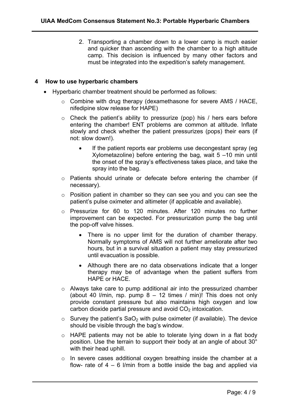2. Transporting a chamber down to a lower camp is much easier and quicker than ascending with the chamber to a high altitude camp. This decision is influenced by many other factors and must be integrated into the expedition's safety management.

#### **4 How to use hyperbaric chambers**

- Hyperbaric chamber treatment should be performed as follows:
	- o Combine with drug therapy (dexamethasone for severe AMS / HACE, nifedipine slow release for HAPE)
	- $\circ$  Check the patient's ability to pressurize (pop) his / hers ears before entering the chamber! ENT problems are common at altitude. Inflate slowly and check whether the patient pressurizes (pops) their ears (if not: slow down!).
		- If the patient reports ear problems use decongestant spray (eg) Xylometazoline) before entering the bag, wait 5 –10 min until the onset of the spray's effectiveness takes place, and take the spray into the bag.
	- o Patients should urinate or defecate before entering the chamber (if necessary).
	- o Position patient in chamber so they can see you and you can see the patient's pulse oximeter and altimeter (if applicable and available).
	- o Pressurize for 60 to 120 minutes. After 120 minutes no further improvement can be expected. For pressurization pump the bag until the pop-off valve hisses.
		- There is no upper limit for the duration of chamber therapy. Normally symptoms of AMS will not further ameliorate after two hours, but in a survival situation a patient may stay pressurized until evacuation is possible.
		- Although there are no data observations indicate that a longer therapy may be of advantage when the patient suffers from HAPE or HACE.
	- o Always take care to pump additional air into the pressurized chamber (about 40 *l/min, rsp. pump 8 – 12 times / min)*! This does not only provide constant pressure but also maintains high oxygen and low carbon dioxide partial pressure and avoid  $CO<sub>2</sub>$  intoxication.
	- $\circ$  Survey the patient's SaO<sub>2</sub> with pulse oximeter (if available). The device should be visible through the bag's window.
	- $\circ$  HAPE patients may not be able to tolerate lying down in a flat body position. Use the terrain to support their body at an angle of about 30° with their head uphill.
	- o In severe cases additional oxygen breathing inside the chamber at a flow- rate of  $4 - 6$  I/min from a bottle inside the bag and applied via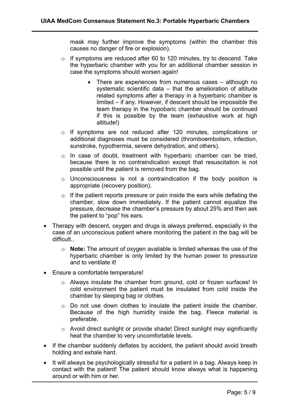mask may further improve the symptoms (within the chamber this causes no danger of fire or explosion).

- o If symptoms are reduced after 60 to 120 minutes, try to descend. Take the hyperbaric chamber with you for an additional chamber session in case the symptoms should worsen again!
	- There are experiences from numerous cases although no systematic scientific data – that the amelioration of altitude related symptoms after a therapy in a hyperbaric chamber is limited – if any. However, if descent should be impossible the team therapy in the hypobaric chamber should be continued if this is possible by the team (exhaustive work at high altitude!)
- o If symptoms are not reduced after 120 minutes, complications or additional diagnoses must be considered (thromboembolism, infection, sunstroke, hypothermia, severe dehydration, and others).
- o In case of doubt, treatment with hyperbaric chamber can be tried, because there is no contraindication except that resuscitation is not possible until the patient is removed from the bag.
- o Unconsciousness is not a contraindication if the body position is appropriate (recovery position).
- $\circ$  If the patient reports pressure or pain inside the ears while deflating the chamber, slow down immediately. If the patient cannot equalize the pressure, decrease the chamber's pressure by about 25% and then ask the patient to "pop" his ears.
- Therapy with descent, oxygen and drugs is always preferred, especially in the case of an unconscious patient where monitoring the patient in the bag will be difficult..
	- o **Note:** The amount of oxygen available is limited whereas the use of the hyperbaric chamber is only limited by the human power to pressurize and to ventilate it!
- Ensure a comfortable temperature!
	- o Always insulate the chamber from ground, cold or frozen surfaces! In cold environment the patient must be insulated from cold inside the chamber by sleeping bag or clothes.
	- o Do not use down clothes to insulate the patient inside the chamber. Because of the high humidity inside the bag. Fleece material is preferable.
	- o Avoid direct sunlight or provide shade! Direct sunlight may significantly heat the chamber to very uncomfortable levels.
- If the chamber suddenly deflates by accident, the patient should avoid breath holding and exhale hard.
- It will always be psychologically stressful for a patient in a bag. Always keep in contact with the patient! The patient should know always what is happening around or with him or her.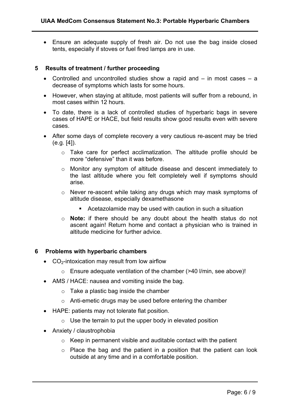• Ensure an adequate supply of fresh air. Do not use the bag inside closed tents, especially if stoves or fuel fired lamps are in use.

#### **5 Results of treatment / further proceeding**

- Controlled and uncontrolled studies show a rapid and in most cases a decrease of symptoms which lasts for some hours.
- However, when staying at altitude, most patients will suffer from a rebound, in most cases within 12 hours.
- To date, there is a lack of controlled studies of hyperbaric bags in severe cases of HAPE or HACE, but field results show good results even with severe cases.
- After some days of complete recovery a very cautious re-ascent may be tried (e.g. [4]).
	- o Take care for perfect acclimatization. The altitude profile should be more "defensive" than it was before.
	- o Monitor any symptom of altitude disease and descent immediately to the last altitude where you felt completely well if symptoms should arise.
	- o Never re-ascent while taking any drugs which may mask symptoms of altitude disease, especially dexamethasone
		- Acetazolamide may be used with caution in such a situation
	- o **Note:** if there should be any doubt about the health status do not ascent again! Return home and contact a physician who is trained in altitude medicine for further advice.

#### **6 Problems with hyperbaric chambers**

- $\bullet$  CO<sub>2</sub>-intoxication may result from low airflow
	- $\circ$  Ensure adequate ventilation of the chamber (>40 l/min, see above)!
- AMS / HACE: nausea and vomiting inside the bag.
	- $\circ$  Take a plastic bag inside the chamber
	- o Anti-emetic drugs may be used before entering the chamber
- HAPE: patients may not tolerate flat position.
	- $\circ$  Use the terrain to put the upper body in elevated position
- Anxiety / claustrophobia
	- $\circ$  Keep in permanent visible and auditable contact with the patient
	- $\circ$  Place the bag and the patient in a position that the patient can look outside at any time and in a comfortable position.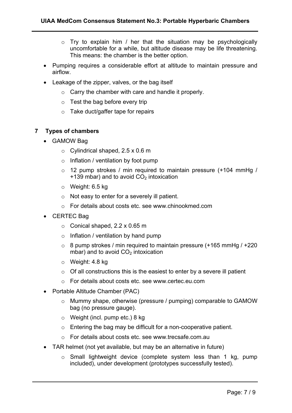- $\circ$  Try to explain him / her that the situation may be psychologically uncomfortable for a while, but altitude disease may be life threatening. This means: the chamber is the better option.
- Pumping requires a considerable effort at altitude to maintain pressure and airflow.
- Leakage of the zipper, valves, or the bag itself
	- $\circ$  Carry the chamber with care and handle it properly.
	- $\circ$  Test the bag before every trip
	- $\circ$  Take duct/gaffer tape for repairs

#### **7 Types of chambers**

- GAMOW Bag
	- $\circ$  Cylindrical shaped, 2.5 x 0.6 m
	- $\circ$  Inflation / ventilation by foot pump
	- $\circ$  12 pump strokes / min required to maintain pressure (+104 mmHg / +139 mbar) and to avoid  $CO<sub>2</sub>$  intoxication
	- o Weight: 6.5 kg
	- o Not easy to enter for a severely ill patient.
	- o For details about costs etc. see www.chinookmed.com
- CERTEC Bag
	- $\circ$  Conical shaped, 2.2 x 0.65 m
	- $\circ$  Inflation / ventilation by hand pump
	- $\circ$  8 pump strokes / min required to maintain pressure (+165 mmHg / +220 mbar) and to avoid  $CO<sub>2</sub>$  intoxication
	- o Weight: 4.8 kg
	- $\circ$  Of all constructions this is the easiest to enter by a severe ill patient
	- o For details about costs etc. see www.certec.eu.com
- Portable Altitude Chamber (PAC)
	- o Mummy shape, otherwise (pressure / pumping) comparable to GAMOW bag (no pressure gauge).
	- o Weight (incl. pump etc.) 8 kg
	- o Entering the bag may be difficult for a non-cooperative patient.
	- o For details about costs etc. see www.trecsafe.com.au
- TAR helmet (not yet available, but may be an alternative in future)
	- o Small lightweight device (complete system less than 1 kg, pump included), under development (prototypes successfully tested).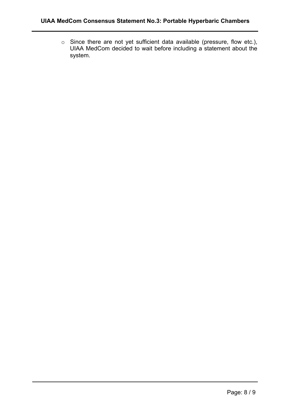o Since there are not yet sufficient data available (pressure, flow etc.), UIAA MedCom decided to wait before including a statement about the system.